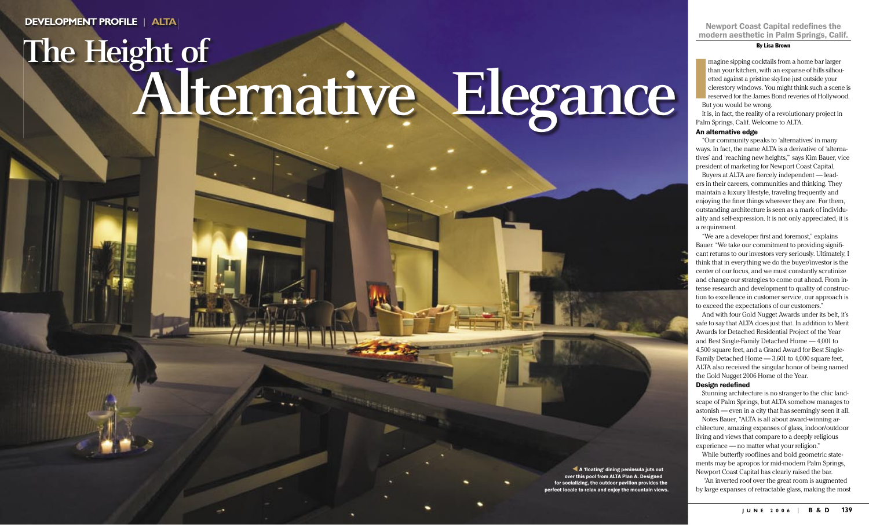# modern aesthetic in Palm Springs, Calif.

#### By Lisa Brown

 **I** magine sipping cocktails from a home bar larger than your kitchen, with an expanse of hills silhouetted against a pristine skyline just outside your clerestory windows. You might think such a scene is reserved for the James Bond reveries of Hollywood. But you would be wrong.

It is, in fact, the reality of a revolutionary project in Palm Springs, Calif. Welcome to ALTA.

Buyers at ALTA are fiercely independent — leaders in their careers, communities and thinking. They maintain a luxury lifestyle, traveling frequently and enjoying the finer things wherever they are. For them, outstanding architecture is seen as a mark of individuality and self-expression. It is not only appreciated, it is a requirement.

### An alternative edge

"Our community speaks to 'alternatives' in many ways. In fact, the name ALTA is a derivative of 'alternatives' and 'reaching new heights,'" says Kim Bauer, vice president of marketing for Newport Coast Capital,

"We are a developer first and foremost," explains Bauer. "We take our commitment to providing significant returns to our investors very seriously. Ultimately, I think that in everything we do the buyer/investor is the center of our focus, and we must constantly scrutinize and change our strategies to come out ahead. From intense research and development to quality of construction to excellence in customer service, our approach is to exceed the expectations of our customers."

While butterfly rooflines and bold geometric statements may be apropos for mid-modern Palm Springs, Newport Coast Capital has clearly raised the bar.

And with four Gold Nugget Awards under its belt, it's safe to say that ALTA does just that. In addition to Merit Awards for Detached Residential Project of the Year and Best Single-Family Detached Home — 4,001 to 4,500 square feet, and a Grand Award for Best Single-Family Detached Home — 3,601 to 4,000 square feet, ALTA also received the singular honor of being named the Gold Nugget 2006 Home of the Year.

#### Design redefined

Stunning architecture is no stranger to the chic landscape of Palm Springs, but ALTA somehow manages to astonish — even in a city that has seemingly seen it all.

Notes Bauer, "ALTA is all about award-winning architecture, amazing expanses of glass, indoor/outdoor living and views that compare to a deeply religious experience — no matter what your religion."

 "An inverted roof over the great room is augmented by large expanses of retractable glass, making the most

**DEVELOPMENT PROFILE** | **ALTA** Newport Coast Capital redefines the

# **The Height of Alternative Elegance**

138 B B & D | O C T O C T O B & D | O C O B & D | O C O M A G . C O M A G . C O M A G . C O M A G . C O M A G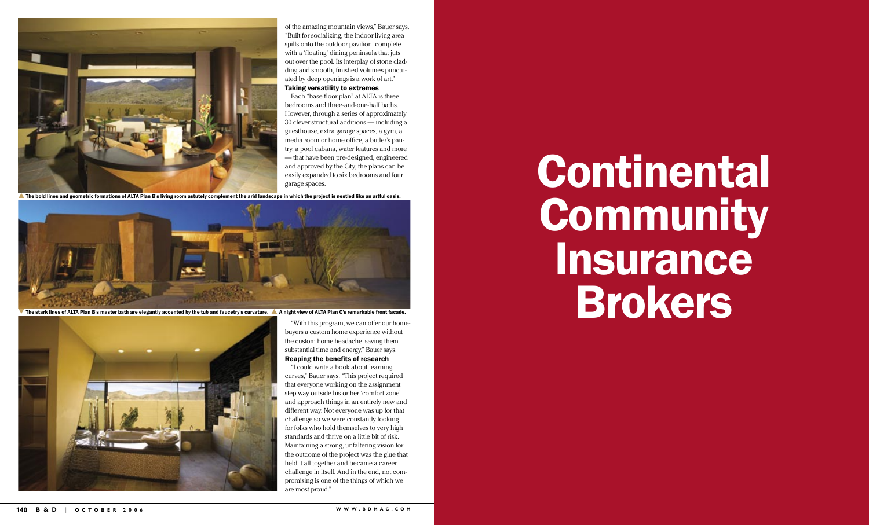

of the amazing mountain views," Bauer says. "Built for socializing, the indoor living area spills onto the outdoor pavilion, complete with a 'floating' dining peninsula that juts out over the pool. Its interplay of stone cladding and smooth, finished volumes punctuated by deep openings is a work of art."

# Taking versatility to extremes

Each "base floor plan" at ALTA is three bedrooms and three-and-one-half baths. However, through a series of approximately 30 clever structural additions — including a guesthouse, extra garage spaces, a gym, a media room or home office, a butler's pantry, a pool cabana, water features and more — that have been pre-designed, engineered and approved by the City, the plans can be easily expanded to six bedrooms and four garage spaces.

The bold lines and geometric formations of ALTA Plan B's living room astutely complement the arid landscape in which the project is nestled like an artful oasis.



The stark lines of ALTA Plan B's master bath are elegantly accented by the tub and faucetry's curvature. A night view of ALTA Plan C's remarkable front facade.



"With this program, we can offer our homebuyers a custom home experience without the custom home headache, saving them substantial time and energy," Bauer says.

# Reaping the benefits of research

"I could write a book about learning curves," Bauer says. "This project required that everyone working on the assignment step way outside his or her 'comfort zone' and approach things in an entirely new and different way. Not everyone was up for that challenge so we were constantly looking for folks who hold themselves to very high standards and thrive on a little bit of risk. Maintaining a strong, unfaltering vision for the outcome of the project was the glue that held it all together and became a career challenge in itself. And in the end, not compromising is one of the things of which we are most proud."